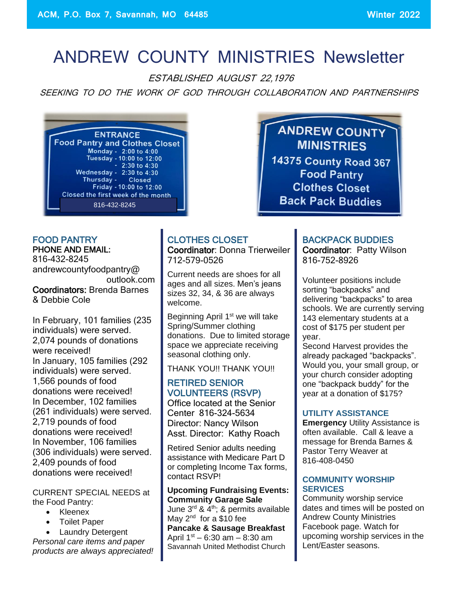# ANDREW COUNTY MINISTRIES Newsletter

ESTABLISHED AUGUST 22,1976

SEEKING TO DO THE WORK OF GOD THROUGH COLLABORATION AND PARTNERSHIPS



**ANDREW COUNTY MINISTRIES 14375 County Road 367 Food Pantry Clothes Closet Back Pack Buddies** 

## FOOD PANTRY PHONE AND EMAIL:

816-432-8245 andrewcountyfoodpantry@ outlook.com Coordinators: Brenda Barnes & Debbie Cole

In February, 101 families (235 individuals) were served. 2,074 pounds of donations were received! In January, 105 families (292 individuals) were served. 1,566 pounds of food donations were received! In December, 102 families (261 individuals) were served. 2,719 pounds of food donations were received! In November, 106 families (306 individuals) were served. 2,409 pounds of food donations were received!

CURRENT SPECIAL NEEDS at the Food Pantry:

- Kleenex
- Toilet Paper

• Laundry Detergent *Personal care items and paper products are always appreciated!*

#### CLOTHES CLOSET Coordinator: Donna Trierweiler 712-579-0526

Current needs are shoes for all ages and all sizes. Men's jeans sizes 32, 34, & 36 are always welcome.

Beginning April 1<sup>st</sup> we will take Spring/Summer clothing donations. Due to limited storage space we appreciate receiving seasonal clothing only.

THANK YOU!! THANK YOU!!

#### RETIRED SENIOR VOLUNTEERS (RSVP)

Office located at the Senior Center 816-324-5634 Director: Nancy Wilson Asst. Director: Kathy Roach

Retired Senior adults needing assistance with Medicare Part D or completing Income Tax forms, contact RSVP!

#### **Upcoming Fundraising Events: Community Garage Sale** June  $3^{\text{rd}}$  &  $4^{\text{th}}$ ; & permits available May 2<sup>nd</sup> for a \$10 fee

**Pancake & Sausage Breakfast** April  $1^{st}$  – 6:30 am – 8:30 am Savannah United Methodist Church

# BACKPACK BUDDIES

Coordinator: Patty Wilson 816-752-8926

Volunteer positions include sorting "backpacks" and delivering "backpacks" to area schools. We are currently serving 143 elementary students at a cost of \$175 per student per year.

Second Harvest provides the already packaged "backpacks". Would you, your small group, or your church consider adopting one "backpack buddy" for the year at a donation of \$175?

#### **UTILITY ASSISTANCE**

**Emergency** Utility Assistance is often available. Call & leave a message for Brenda Barnes & Pastor Terry Weaver at 816-408-0450

#### **COMMUNITY WORSHIP SERVICES**

Community worship service dates and times will be posted on Andrew County Ministries Facebook page. Watch for upcoming worship services in the Lent/Easter seasons.